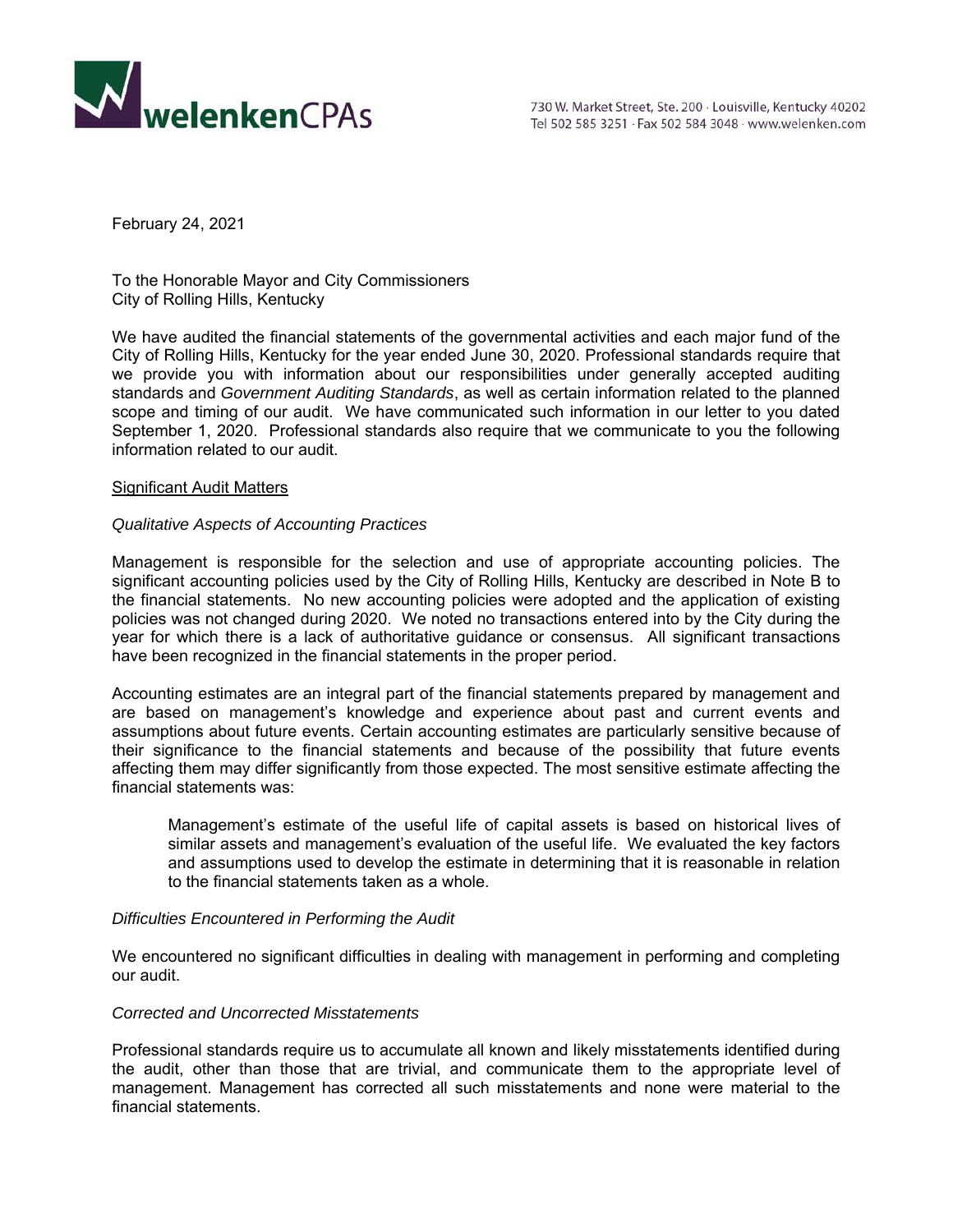

February 24, 2021

To the Honorable Mayor and City Commissioners City of Rolling Hills, Kentucky

We have audited the financial statements of the governmental activities and each major fund of the City of Rolling Hills, Kentucky for the year ended June 30, 2020. Professional standards require that we provide you with information about our responsibilities under generally accepted auditing standards and *Government Auditing Standards*, as well as certain information related to the planned scope and timing of our audit. We have communicated such information in our letter to you dated September 1, 2020. Professional standards also require that we communicate to you the following information related to our audit.

## Significant Audit Matters

# *Qualitative Aspects of Accounting Practices*

Management is responsible for the selection and use of appropriate accounting policies. The significant accounting policies used by the City of Rolling Hills, Kentucky are described in Note B to the financial statements. No new accounting policies were adopted and the application of existing policies was not changed during 2020. We noted no transactions entered into by the City during the year for which there is a lack of authoritative guidance or consensus. All significant transactions have been recognized in the financial statements in the proper period.

Accounting estimates are an integral part of the financial statements prepared by management and are based on management's knowledge and experience about past and current events and assumptions about future events. Certain accounting estimates are particularly sensitive because of their significance to the financial statements and because of the possibility that future events affecting them may differ significantly from those expected. The most sensitive estimate affecting the financial statements was:

 Management's estimate of the useful life of capital assets is based on historical lives of similar assets and management's evaluation of the useful life. We evaluated the key factors and assumptions used to develop the estimate in determining that it is reasonable in relation to the financial statements taken as a whole.

## *Difficulties Encountered in Performing the Audit*

We encountered no significant difficulties in dealing with management in performing and completing our audit.

## *Corrected and Uncorrected Misstatements*

Professional standards require us to accumulate all known and likely misstatements identified during the audit, other than those that are trivial, and communicate them to the appropriate level of management. Management has corrected all such misstatements and none were material to the financial statements.